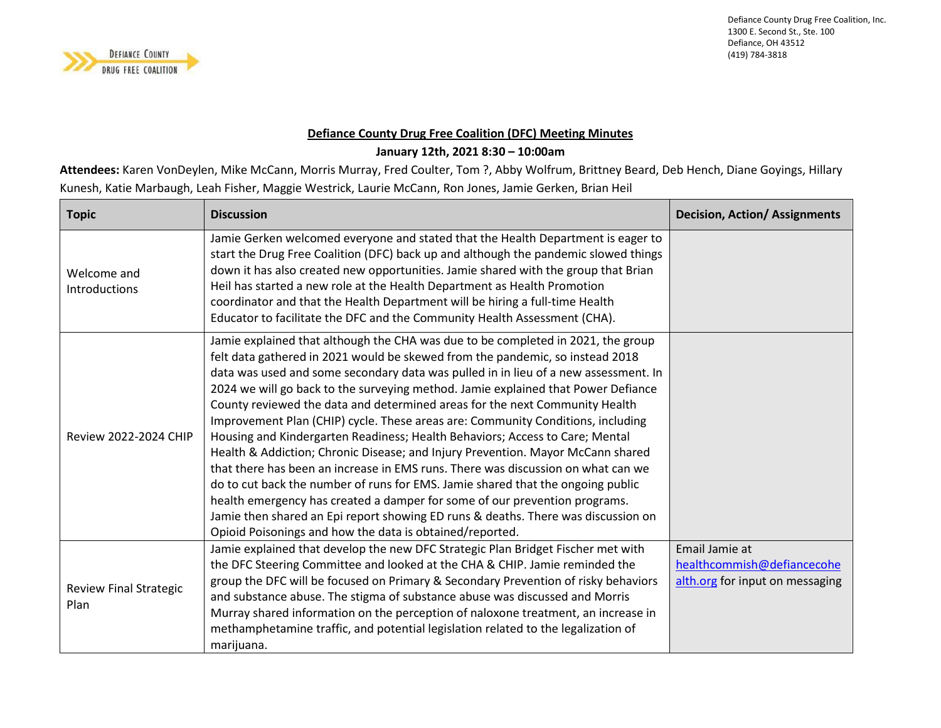

## **Defiance County Drug Free Coalition (DFC) Meeting Minutes**

## **January 12th, 2021 8:30 – 10:00am**

**Attendees:** Karen VonDeylen, Mike McCann, Morris Murray, Fred Coulter, Tom ?, Abby Wolfrum, Brittney Beard, Deb Hench, Diane Goyings, Hillary Kunesh, Katie Marbaugh, Leah Fisher, Maggie Westrick, Laurie McCann, Ron Jones, Jamie Gerken, Brian Heil

| <b>Topic</b>                          | <b>Discussion</b>                                                                                                                                                                                                                                                                                                                                                                                                                                                                                                                                                                                                                                                                                                                                                                                                                                                                                                                                                                                                                                                                        | <b>Decision, Action/ Assignments</b>                                            |
|---------------------------------------|------------------------------------------------------------------------------------------------------------------------------------------------------------------------------------------------------------------------------------------------------------------------------------------------------------------------------------------------------------------------------------------------------------------------------------------------------------------------------------------------------------------------------------------------------------------------------------------------------------------------------------------------------------------------------------------------------------------------------------------------------------------------------------------------------------------------------------------------------------------------------------------------------------------------------------------------------------------------------------------------------------------------------------------------------------------------------------------|---------------------------------------------------------------------------------|
| Welcome and<br><b>Introductions</b>   | Jamie Gerken welcomed everyone and stated that the Health Department is eager to<br>start the Drug Free Coalition (DFC) back up and although the pandemic slowed things<br>down it has also created new opportunities. Jamie shared with the group that Brian<br>Heil has started a new role at the Health Department as Health Promotion<br>coordinator and that the Health Department will be hiring a full-time Health<br>Educator to facilitate the DFC and the Community Health Assessment (CHA).                                                                                                                                                                                                                                                                                                                                                                                                                                                                                                                                                                                   |                                                                                 |
| <b>Review 2022-2024 CHIP</b>          | Jamie explained that although the CHA was due to be completed in 2021, the group<br>felt data gathered in 2021 would be skewed from the pandemic, so instead 2018<br>data was used and some secondary data was pulled in in lieu of a new assessment. In<br>2024 we will go back to the surveying method. Jamie explained that Power Defiance<br>County reviewed the data and determined areas for the next Community Health<br>Improvement Plan (CHIP) cycle. These areas are: Community Conditions, including<br>Housing and Kindergarten Readiness; Health Behaviors; Access to Care; Mental<br>Health & Addiction; Chronic Disease; and Injury Prevention. Mayor McCann shared<br>that there has been an increase in EMS runs. There was discussion on what can we<br>do to cut back the number of runs for EMS. Jamie shared that the ongoing public<br>health emergency has created a damper for some of our prevention programs.<br>Jamie then shared an Epi report showing ED runs & deaths. There was discussion on<br>Opioid Poisonings and how the data is obtained/reported. |                                                                                 |
| <b>Review Final Strategic</b><br>Plan | Jamie explained that develop the new DFC Strategic Plan Bridget Fischer met with<br>the DFC Steering Committee and looked at the CHA & CHIP. Jamie reminded the<br>group the DFC will be focused on Primary & Secondary Prevention of risky behaviors<br>and substance abuse. The stigma of substance abuse was discussed and Morris<br>Murray shared information on the perception of naloxone treatment, an increase in<br>methamphetamine traffic, and potential legislation related to the legalization of<br>marijuana.                                                                                                                                                                                                                                                                                                                                                                                                                                                                                                                                                             | Email Jamie at<br>healthcommish@defiancecohe<br>alth.org for input on messaging |